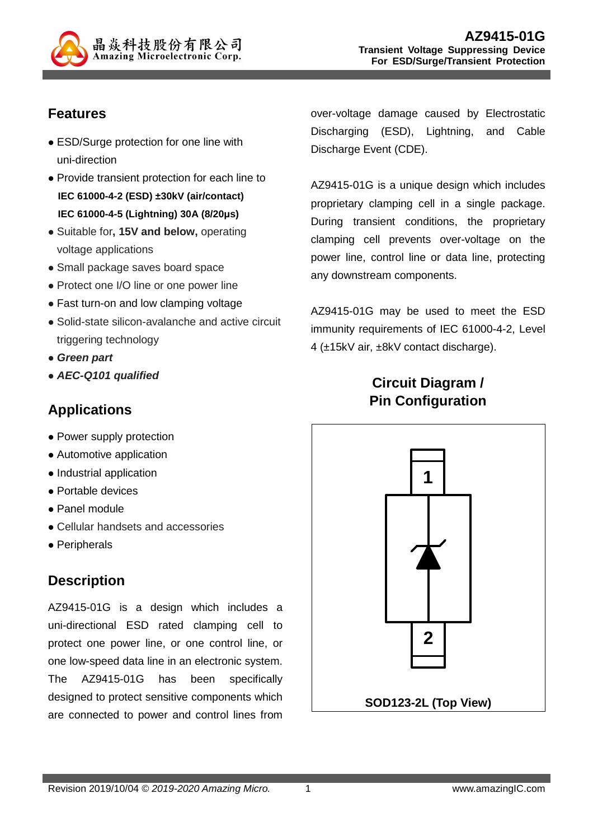

# **Features**

- ESD/Surge protection for one line with uni-direction
- Provide transient protection for each line to **IEC 61000-4-2 (ESD) ±30kV (air/contact) IEC 61000-4-5 (Lightning) 30A (8/20μs)**
- Suitable for**, 15V and below,** operating voltage applications
- Small package saves board space
- Protect one I/O line or one power line
- Fast turn-on and low clamping voltage
- Solid-state silicon-avalanche and active circuit triggering technology
- **Green part**
- **AEC-Q101 qualified**

### **Applications**

- Power supply protection
- Automotive application
- Industrial application
- Portable devices
- Panel module
- Cellular handsets and accessories
- Peripherals

# **Description**

AZ9415-01G is a design which includes a uni-directional ESD rated clamping cell to protect one power line, or one control line, or one low-speed data line in an electronic system. The AZ9415-01G has been specifically designed to protect sensitive components which are connected to power and control lines from over-voltage damage caused by Electrostatic Discharging (ESD), Lightning, and Cable Discharge Event (CDE).

AZ9415-01G is a unique design which includes proprietary clamping cell in a single package. During transient conditions, the proprietary clamping cell prevents over-voltage on the power line, control line or data line, protecting any downstream components.

AZ9415-01G may be used to meet the ESD immunity requirements of IEC 61000-4-2, Level 4 (±15kV air, ±8kV contact discharge).

# **Circuit Diagram / Pin Configuration**

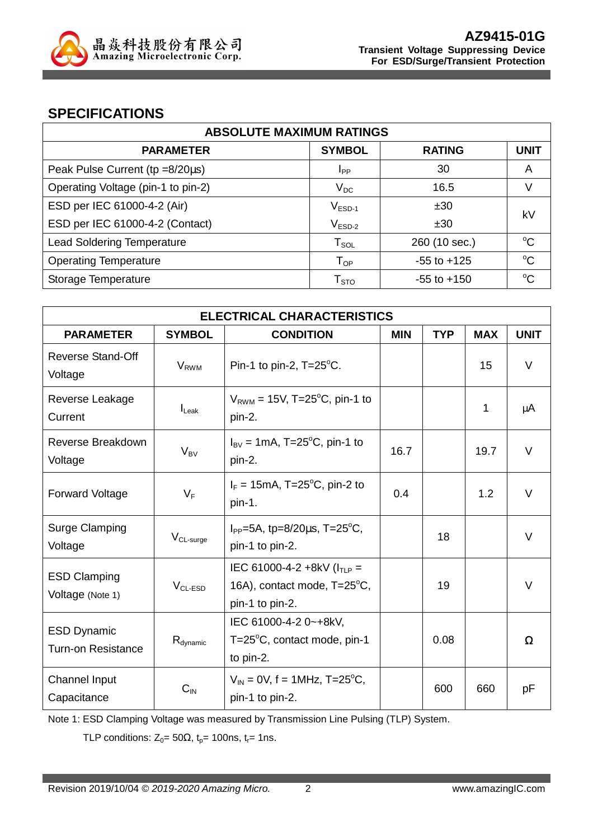

### **SPECIFICATIONS**

| <b>ABSOLUTE MAXIMUM RATINGS</b>    |                    |                 |             |  |
|------------------------------------|--------------------|-----------------|-------------|--|
| <b>PARAMETER</b>                   | <b>SYMBOL</b>      | <b>RATING</b>   | <b>UNIT</b> |  |
| Peak Pulse Current (tp =8/20µs)    | I <sub>PP</sub>    | 30              | A           |  |
| Operating Voltage (pin-1 to pin-2) | $V_{DC}$           | 16.5            | V           |  |
| ESD per IEC 61000-4-2 (Air)        | $V_{ESD-1}$        | ±30             | k٧          |  |
| ESD per IEC 61000-4-2 (Contact)    | $V_{ESD-2}$        | ±30             |             |  |
| <b>Lead Soldering Temperature</b>  | $T_{\texttt{SOL}}$ | 260 (10 sec.)   | $\rm ^{o}C$ |  |
| <b>Operating Temperature</b>       | $T_{OP}$           | $-55$ to $+125$ | $\rm ^{o}C$ |  |
| Storage Temperature                | T <sub>STO</sub>   | $-55$ to $+150$ | $\rm ^{o}C$ |  |

| <b>ELECTRICAL CHARACTERISTICS</b>               |                                   |                                                                                    |            |            |            |             |
|-------------------------------------------------|-----------------------------------|------------------------------------------------------------------------------------|------------|------------|------------|-------------|
| <b>PARAMETER</b>                                | <b>SYMBOL</b><br><b>CONDITION</b> |                                                                                    | <b>MIN</b> | <b>TYP</b> | <b>MAX</b> | <b>UNIT</b> |
| <b>Reverse Stand-Off</b><br>Voltage             | <b>V<sub>RWM</sub></b>            | Pin-1 to pin-2, T=25°C.                                                            |            |            | 15         | $\vee$      |
| Reverse Leakage<br>Current                      | $I_{\text{Leak}}$                 | $V_{RWM}$ = 15V, T=25 <sup>o</sup> C, pin-1 to<br>pin-2.                           |            |            | 1          | μA          |
| Reverse Breakdown<br>Voltage                    | $V_{BV}$                          | $I_{\text{BV}}$ = 1mA, T=25 <sup>o</sup> C, pin-1 to<br>pin-2.                     | 16.7       |            | 19.7       | $\vee$      |
| <b>Forward Voltage</b>                          | $V_F$                             | $I_F = 15 \text{mA}$ , T=25 <sup>o</sup> C, pin-2 to<br>pin-1.                     | 0.4        |            | 1.2        | $\vee$      |
| <b>Surge Clamping</b><br>Voltage                | $V_{CL-surge}$                    | $I_{PP} = 5A$ , tp=8/20 $\mu$ s, T=25 <sup>o</sup> C,<br>pin-1 to pin-2.           |            | 18         |            | V           |
| <b>ESD Clamping</b><br>Voltage (Note 1)         | $VCL-ESD$                         | IEC 61000-4-2 +8kV ( $I_{TLP}$ =<br>16A), contact mode, T=25°C,<br>pin-1 to pin-2. |            | 19         |            | V           |
| <b>ESD Dynamic</b><br><b>Turn-on Resistance</b> | $R_{dynamic}$                     | IEC 61000-4-2 0~+8kV,<br>T= $25^{\circ}$ C, contact mode, pin-1<br>to pin-2.       |            | 0.08       |            | Ω           |
| Channel Input<br>Capacitance                    | $C_{IN}$                          | $V_{IN} = 0V$ , f = 1MHz, T=25 <sup>o</sup> C,<br>pin-1 to pin-2.                  |            | 600        | 660        | рF          |

Note 1: ESD Clamping Voltage was measured by Transmission Line Pulsing (TLP) System.

TLP conditions:  $Z_0 = 50\Omega$ ,  $t_p = 100$ ns,  $t_r = 1$ ns.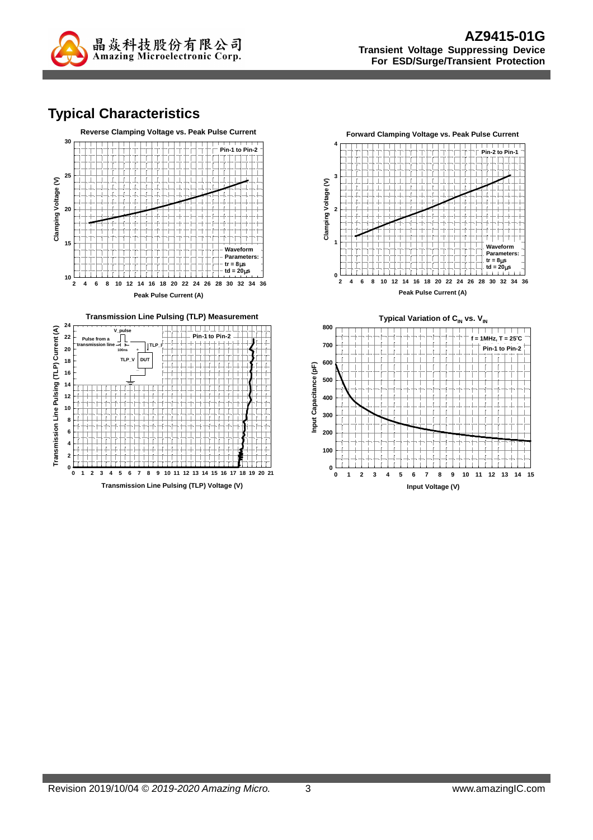

# **Typical Characteristics**





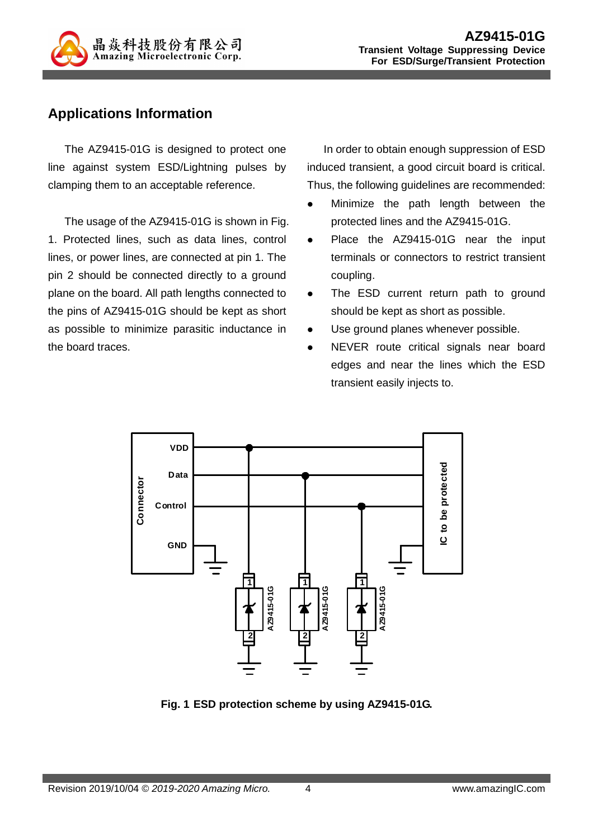

## **Applications Information**

The AZ9415-01G is designed to protect one line against system ESD/Lightning pulses by clamping them to an acceptable reference.

The usage of the AZ9415-01G is shown in Fig. 1. Protected lines, such as data lines, control lines, or power lines, are connected at pin 1. The pin 2 should be connected directly to a ground plane on the board. All path lengths connected to the pins of AZ9415-01G should be kept as short as possible to minimize parasitic inductance in the board traces.

In order to obtain enough suppression of ESD induced transient, a good circuit board is critical. Thus, the following guidelines are recommended:

- Minimize the path length between the protected lines and the AZ9415-01G.
- Place the AZ9415-01G near the input terminals or connectors to restrict transient coupling.
- The ESD current return path to ground should be kept as short as possible.
- Use ground planes whenever possible.
- NEVER route critical signals near board edges and near the lines which the ESD transient easily injects to.



**Fig. 1 ESD protection scheme by using AZ9415-01G.**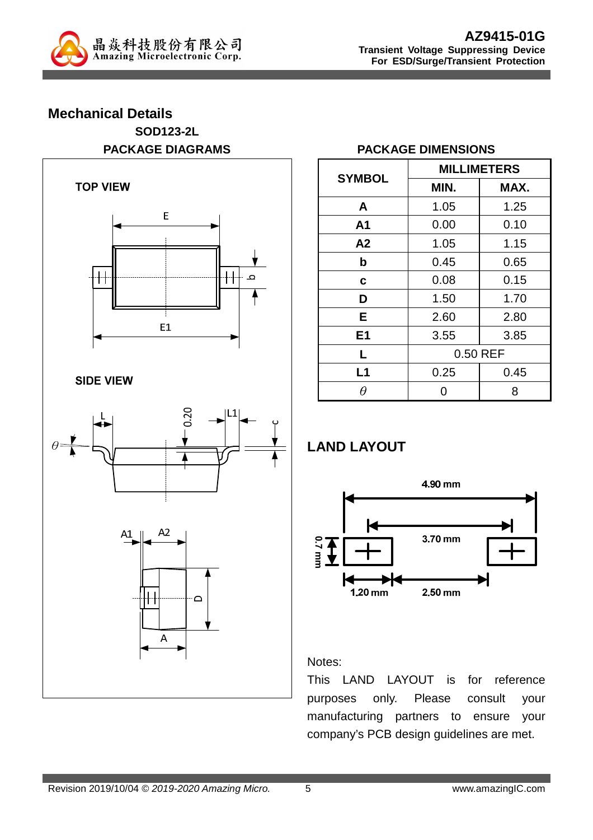

# **Mechanical Details SOD123-2L**



### **PACKAGE DIAGRAMS PACKAGE DIMENSIONS**

| <b>SYMBOL</b>  | <b>MILLIMETERS</b> |      |  |  |
|----------------|--------------------|------|--|--|
|                | MIN.               | MAX. |  |  |
| A              | 1.05               | 1.25 |  |  |
| A <sub>1</sub> | 0.00               | 0.10 |  |  |
| A2             | 1.05               | 1.15 |  |  |
| b              | 0.45               | 0.65 |  |  |
| C              | 0.08               | 0.15 |  |  |
| D              | 1.50               | 1.70 |  |  |
| Е              | 2.60               | 2.80 |  |  |
| E <sub>1</sub> | 3.55               | 3.85 |  |  |
| L              | 0.50 REF           |      |  |  |
| L1             | 0.25               | 0.45 |  |  |
|                |                    | 8    |  |  |

### **LAND LAYOUT**



#### Notes:

This LAND LAYOUT is for reference purposes only. Please consult your manufacturing partners to ensure your company's PCB design guidelines are met.

 $\overline{A}$